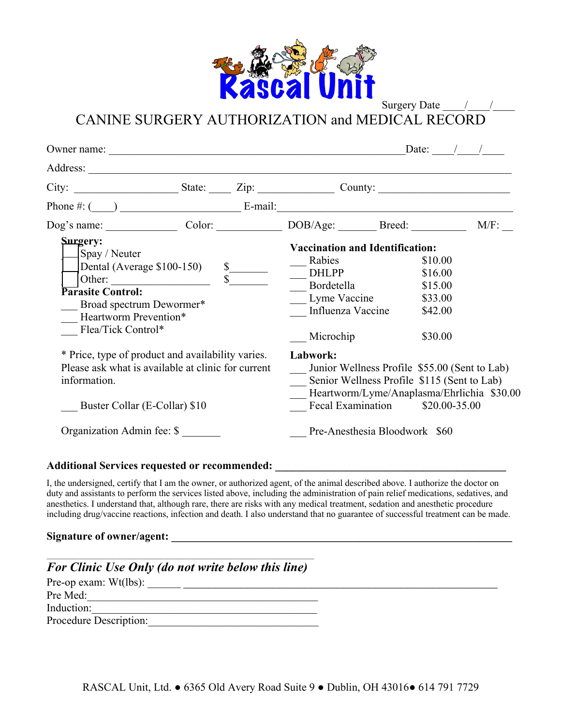

Surgery Date

CANINE SURGERY AUTHORIZATION and MEDICAL RECORD

|                                                                                                                                                                                 |   |                                                                                                                                                                               |                                                                                                                                              | Date: |                                                                |         |
|---------------------------------------------------------------------------------------------------------------------------------------------------------------------------------|---|-------------------------------------------------------------------------------------------------------------------------------------------------------------------------------|----------------------------------------------------------------------------------------------------------------------------------------------|-------|----------------------------------------------------------------|---------|
|                                                                                                                                                                                 |   |                                                                                                                                                                               |                                                                                                                                              |       |                                                                |         |
|                                                                                                                                                                                 |   |                                                                                                                                                                               |                                                                                                                                              |       |                                                                |         |
| Phone $\#:$ $(\_\_\_\_\_\_\_\_\$ $E$ -mail:                                                                                                                                     |   |                                                                                                                                                                               |                                                                                                                                              |       |                                                                |         |
| Dog's name: Color: Color: DOB/Age: Breed:                                                                                                                                       |   |                                                                                                                                                                               |                                                                                                                                              |       |                                                                | $M/F$ : |
| <b>Surgery:</b><br>Spay / Neuter<br>Dental (Average \$100-150)<br>Other:<br><b>Parasite Control:</b><br>Broad spectrum Dewormer*<br>Heartworm Prevention*<br>Flea/Tick Control* | s | s                                                                                                                                                                             | <b>Vaccination and Identification:</b><br>Rabies<br><b>DHLPP</b><br>Bordetella<br>Lyme Vaccine<br>Influenza Vaccine<br>Microchip<br>Labwork: |       | \$10.00<br>\$16.00<br>\$15.00<br>\$33.00<br>\$42.00<br>\$30.00 |         |
| * Price, type of product and availability varies.<br>Please ask what is available at clinic for current<br>information.<br>Buster Collar (E-Collar) \$10                        |   | Junior Wellness Profile \$55.00 (Sent to Lab)<br>Senior Wellness Profile \$115 (Sent to Lab)<br>Heartworm/Lyme/Anaplasma/Ehrlichia \$30.00<br>Fecal Examination \$20.00-35.00 |                                                                                                                                              |       |                                                                |         |
| Organization Admin fee: \$                                                                                                                                                      |   | Pre-Anesthesia Bloodwork \$60                                                                                                                                                 |                                                                                                                                              |       |                                                                |         |

## **Additional Services requested or recommended: \_\_\_\_\_\_\_\_\_\_\_\_\_\_\_\_\_\_\_\_\_\_\_\_\_\_\_\_\_\_\_\_\_\_\_\_\_\_\_\_\_\_**

I, the undersigned, certify that I am the owner, or authorized agent, of the animal described above. I authorize the doctor on duty and assistants to perform the services listed above, including the administration of pain relief medications, sedatives, and anesthetics. I understand that, although rare, there are risks with any medical treatment, sedation and anesthetic procedure including drug/vaccine reactions, infection and death. I also understand that no guarantee of successful treatment can be made.

## Signature of owner/agent:

| <b>For Clinic Use Only (do not write below this line)</b> |  |  |  |  |
|-----------------------------------------------------------|--|--|--|--|
|                                                           |  |  |  |  |
| Pre Med:                                                  |  |  |  |  |
| Induction:                                                |  |  |  |  |
| Procedure Description:                                    |  |  |  |  |